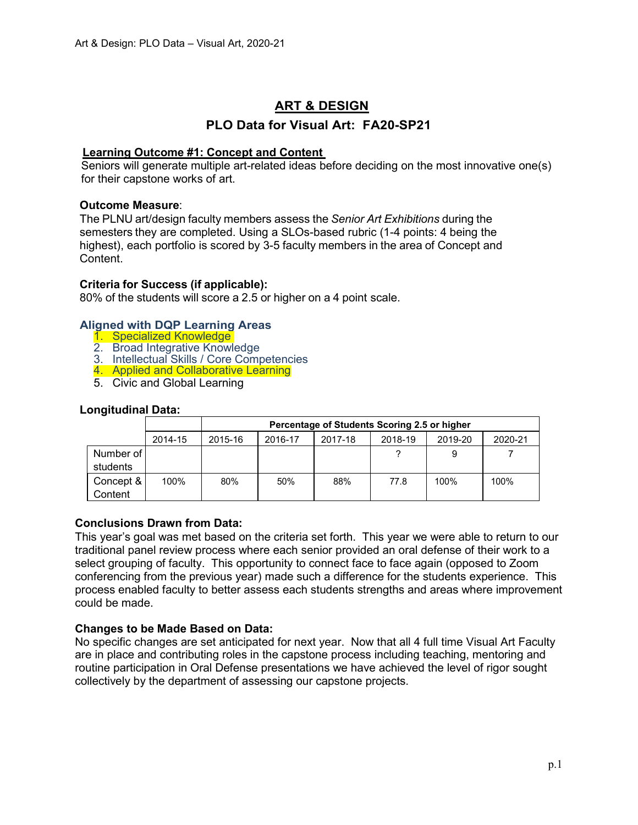# **ART & DESIGN**

# **PLO Data for Visual Art: FA20-SP21**

### **Learning Outcome #1: Concept and Content**

Seniors will generate multiple art-related ideas before deciding on the most innovative one(s) for their capstone works of art.

### **Outcome Measure**:

The PLNU art/design faculty members assess the *Senior Art Exhibitions* during the semesters they are completed. Using a SLOs-based rubric (1-4 points: 4 being the highest), each portfolio is scored by 3-5 faculty members in the area of Concept and Content.

### **Criteria for Success (if applicable):**

80% of the students will score a 2.5 or higher on a 4 point scale.

### **Aligned with DQP Learning Areas**

- 1. Specialized Knowledge
- 2. Broad Integrative Knowledge
- 3. Intellectual Skills / Core Competencies
- 4. Applied and Collaborative Learning
- 5. Civic and Global Learning

### **Longitudinal Data:**

|                         |         |         | Percentage of Students Scoring 2.5 or higher |         |         |         |         |
|-------------------------|---------|---------|----------------------------------------------|---------|---------|---------|---------|
|                         | 2014-15 | 2015-16 | 2016-17                                      | 2017-18 | 2018-19 | 2019-20 | 2020-21 |
| Number of I<br>students |         |         |                                              |         |         | 9       |         |
| Concept &<br>Content    | 100%    | 80%     | 50%                                          | 88%     | 77.8    | 100%    | 100%    |

### **Conclusions Drawn from Data:**

This year's goal was met based on the criteria set forth. This year we were able to return to our traditional panel review process where each senior provided an oral defense of their work to a select grouping of faculty. This opportunity to connect face to face again (opposed to Zoom conferencing from the previous year) made such a difference for the students experience. This process enabled faculty to better assess each students strengths and areas where improvement could be made.

### **Changes to be Made Based on Data:**

No specific changes are set anticipated for next year. Now that all 4 full time Visual Art Faculty are in place and contributing roles in the capstone process including teaching, mentoring and routine participation in Oral Defense presentations we have achieved the level of rigor sought collectively by the department of assessing our capstone projects.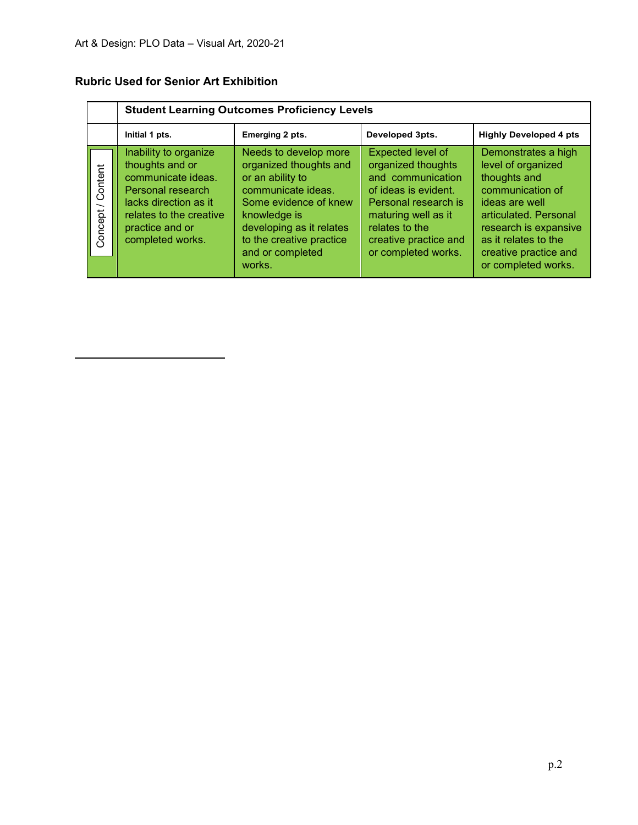|                      |                                                                                                                                                                                | <b>Student Learning Outcomes Proficiency Levels</b>                                                                                                                                                                      |                                                                                                                                                                                                       |                                                                                                                                                                                                                           |  |  |  |
|----------------------|--------------------------------------------------------------------------------------------------------------------------------------------------------------------------------|--------------------------------------------------------------------------------------------------------------------------------------------------------------------------------------------------------------------------|-------------------------------------------------------------------------------------------------------------------------------------------------------------------------------------------------------|---------------------------------------------------------------------------------------------------------------------------------------------------------------------------------------------------------------------------|--|--|--|
|                      | Initial 1 pts.                                                                                                                                                                 | Emerging 2 pts.                                                                                                                                                                                                          | Developed 3pts.                                                                                                                                                                                       | <b>Highly Developed 4 pts</b>                                                                                                                                                                                             |  |  |  |
| / Content<br>Concept | Inability to organize<br>thoughts and or<br>communicate ideas.<br>Personal research<br>lacks direction as it<br>relates to the creative<br>practice and or<br>completed works. | Needs to develop more<br>organized thoughts and<br>or an ability to<br>communicate ideas.<br>Some evidence of knew<br>knowledge is<br>developing as it relates<br>to the creative practice<br>and or completed<br>works. | Expected level of<br>organized thoughts<br>and communication<br>of ideas is evident.<br>Personal research is<br>maturing well as it<br>relates to the<br>creative practice and<br>or completed works. | Demonstrates a high<br>level of organized<br>thoughts and<br>communication of<br>ideas are well<br>articulated. Personal<br>research is expansive<br>as it relates to the<br>creative practice and<br>or completed works. |  |  |  |

## **Rubric Used for Senior Art Exhibition**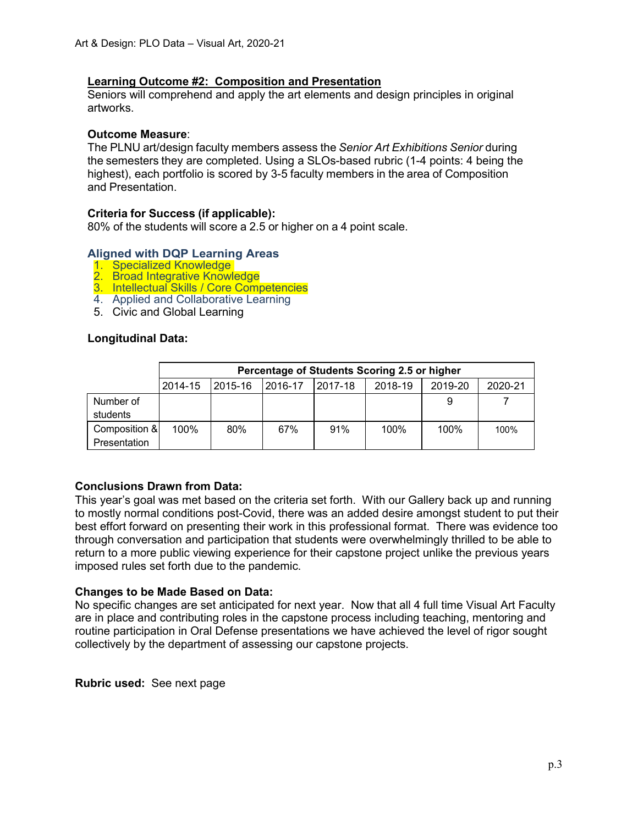### **Learning Outcome #2: Composition and Presentation**

Seniors will comprehend and apply the art elements and design principles in original artworks.

#### **Outcome Measure**:

The PLNU art/design faculty members assess the *Senior Art Exhibitions Senior* during the semesters they are completed. Using a SLOs-based rubric (1-4 points: 4 being the highest), each portfolio is scored by 3-5 faculty members in the area of Composition and Presentation.

### **Criteria for Success (if applicable):**

80% of the students will score a 2.5 or higher on a 4 point scale.

### **Aligned with DQP Learning Areas**

- 1. Specialized Knowledge
- 2. Broad Integrative Knowledge
- 3. Intellectual Skills / Core Competencies
- 4. Applied and Collaborative Learning
- 5. Civic and Global Learning

#### **Longitudinal Data:**

|                               |         | Percentage of Students Scoring 2.5 or higher |         |         |         |         |         |
|-------------------------------|---------|----------------------------------------------|---------|---------|---------|---------|---------|
|                               | 2014-15 | 2015-16                                      | 2016-17 | 2017-18 | 2018-19 | 2019-20 | 2020-21 |
| Number of<br>students         |         |                                              |         |         |         | 9       |         |
| Composition &<br>Presentation | 100%    | 80%                                          | 67%     | 91%     | $100\%$ | 100%    | 100%    |

#### **Conclusions Drawn from Data:**

This year's goal was met based on the criteria set forth. With our Gallery back up and running to mostly normal conditions post-Covid, there was an added desire amongst student to put their best effort forward on presenting their work in this professional format. There was evidence too through conversation and participation that students were overwhelmingly thrilled to be able to return to a more public viewing experience for their capstone project unlike the previous years imposed rules set forth due to the pandemic.

#### **Changes to be Made Based on Data:**

No specific changes are set anticipated for next year. Now that all 4 full time Visual Art Faculty are in place and contributing roles in the capstone process including teaching, mentoring and routine participation in Oral Defense presentations we have achieved the level of rigor sought collectively by the department of assessing our capstone projects.

**Rubric used:** See next page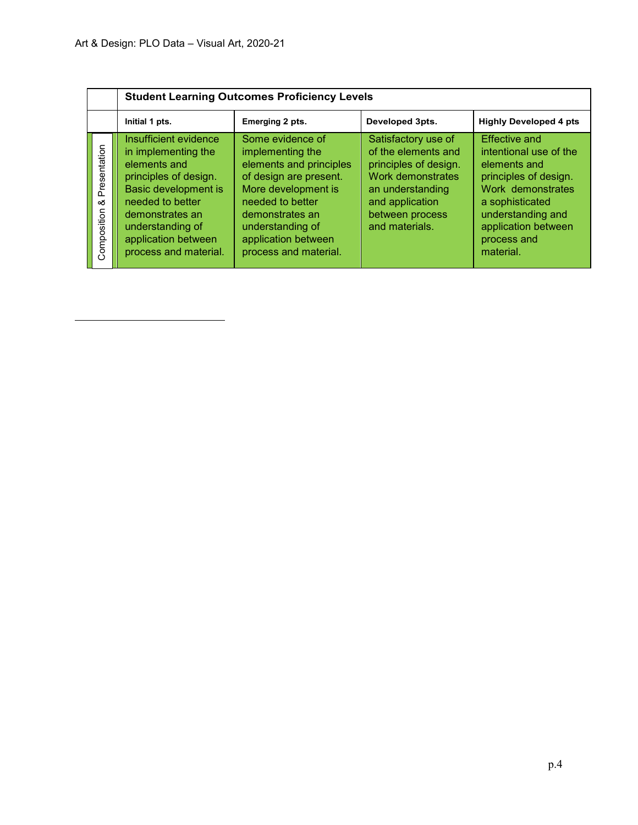|                                  | <b>Student Learning Outcomes Proficiency Levels</b>                                                                                                                                                                      |                                                                                                                                                                                                                             |                                                                                                                                                                      |                                                                                                                                                                                                         |  |  |  |
|----------------------------------|--------------------------------------------------------------------------------------------------------------------------------------------------------------------------------------------------------------------------|-----------------------------------------------------------------------------------------------------------------------------------------------------------------------------------------------------------------------------|----------------------------------------------------------------------------------------------------------------------------------------------------------------------|---------------------------------------------------------------------------------------------------------------------------------------------------------------------------------------------------------|--|--|--|
|                                  | Initial 1 pts.                                                                                                                                                                                                           | Emerging 2 pts.                                                                                                                                                                                                             | Developed 3pts.                                                                                                                                                      | <b>Highly Developed 4 pts</b>                                                                                                                                                                           |  |  |  |
| Presentation<br>య<br>Composition | Insufficient evidence<br>in implementing the<br>elements and<br>principles of design.<br>Basic development is<br>needed to better<br>demonstrates an<br>understanding of<br>application between<br>process and material. | Some evidence of<br>implementing the<br>elements and principles<br>of design are present.<br>More development is<br>needed to better<br>demonstrates an<br>understanding of<br>application between<br>process and material. | Satisfactory use of<br>of the elements and<br>principles of design.<br>Work demonstrates<br>an understanding<br>and application<br>between process<br>and materials. | <b>Effective and</b><br>intentional use of the<br>elements and<br>principles of design.<br>Work demonstrates<br>a sophisticated<br>understanding and<br>application between<br>process and<br>material. |  |  |  |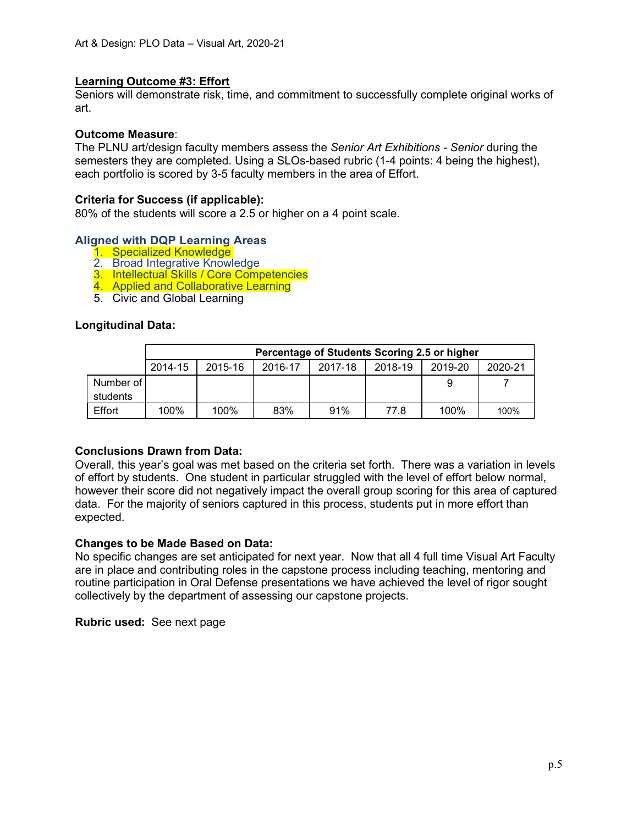### **Learning Outcome #3: Effort**

Seniors will demonstrate risk, time, and commitment to successfully complete original works of art.

#### **Outcome Measure**:

The PLNU art/design faculty members assess the *Senior Art Exhibitions - Senior* during the semesters they are completed. Using a SLOs-based rubric (1-4 points: 4 being the highest), each portfolio is scored by 3-5 faculty members in the area of Effort.

#### **Criteria for Success (if applicable):**

80% of the students will score a 2.5 or higher on a 4 point scale.

### **Aligned with DQP Learning Areas**

- 1. Specialized Knowledge
- 2. Broad Integrative Knowledge
- 3. Intellectual Skills / Core Competencies
- 4. Applied and Collaborative Learning
- 5. Civic and Global Learning

### **Longitudinal Data:**

|           | Percentage of Students Scoring 2.5 or higher |         |         |         |         |         |         |  |
|-----------|----------------------------------------------|---------|---------|---------|---------|---------|---------|--|
|           | 2014-15                                      | 2015-16 | 2016-17 | 2017-18 | 2018-19 | 2019-20 | 2020-21 |  |
| Number of |                                              |         |         |         |         | 9       |         |  |
| students  |                                              |         |         |         |         |         |         |  |
| Effort    | 100%                                         | 100%    | 83%     | 91%     | 77.8    | 100%    | 100%    |  |

#### **Conclusions Drawn from Data:**

Overall, this year's goal was met based on the criteria set forth. There was a variation in levels of effort by students. One student in particular struggled with the level of effort below normal, however their score did not negatively impact the overall group scoring for this area of captured data. For the majority of seniors captured in this process, students put in more effort than expected.

#### **Changes to be Made Based on Data:**

No specific changes are set anticipated for next year. Now that all 4 full time Visual Art Faculty are in place and contributing roles in the capstone process including teaching, mentoring and routine participation in Oral Defense presentations we have achieved the level of rigor sought collectively by the department of assessing our capstone projects.

**Rubric used:** See next page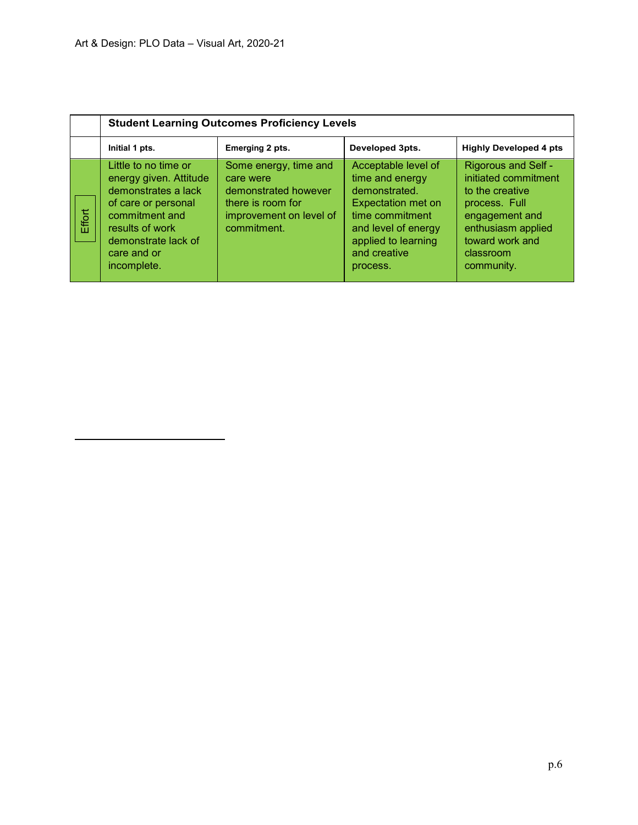|        | <b>Student Learning Outcomes Proficiency Levels</b>                                                                                                                                    |                                                                                                                           |                                                                                                                                                                                   |                                                                                                                                                                              |  |  |
|--------|----------------------------------------------------------------------------------------------------------------------------------------------------------------------------------------|---------------------------------------------------------------------------------------------------------------------------|-----------------------------------------------------------------------------------------------------------------------------------------------------------------------------------|------------------------------------------------------------------------------------------------------------------------------------------------------------------------------|--|--|
|        | Initial 1 pts.                                                                                                                                                                         | Emerging 2 pts.                                                                                                           | Developed 3pts.                                                                                                                                                                   | <b>Highly Developed 4 pts</b>                                                                                                                                                |  |  |
| Effort | Little to no time or<br>energy given. Attitude<br>demonstrates a lack<br>of care or personal<br>commitment and<br>results of work<br>demonstrate lack of<br>care and or<br>incomplete. | Some energy, time and<br>care were<br>demonstrated however<br>there is room for<br>improvement on level of<br>commitment. | Acceptable level of<br>time and energy<br>demonstrated.<br><b>Expectation met on</b><br>time commitment<br>and level of energy<br>applied to learning<br>and creative<br>process. | <b>Rigorous and Self -</b><br>initiated commitment<br>to the creative<br>process. Full<br>engagement and<br>enthusiasm applied<br>toward work and<br>classroom<br>community. |  |  |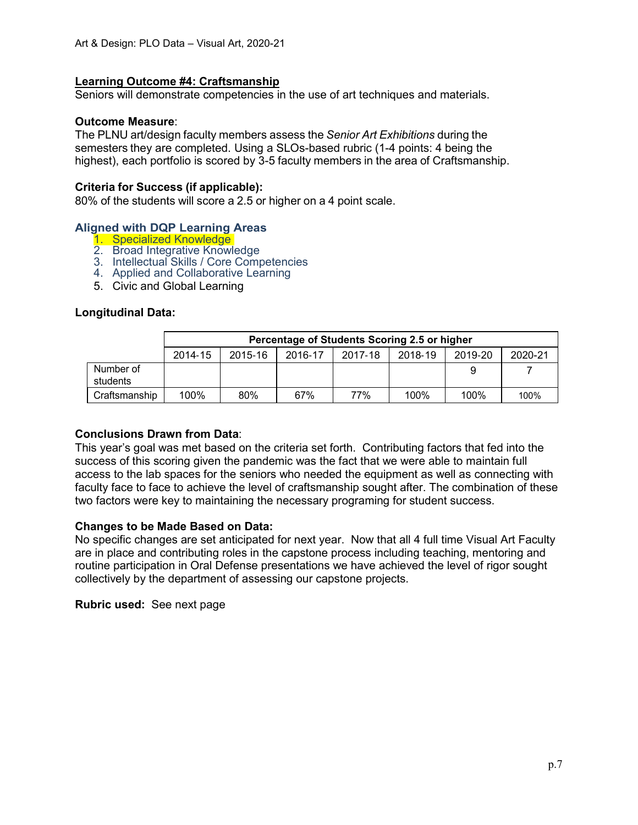### **Learning Outcome #4: Craftsmanship**

Seniors will demonstrate competencies in the use of art techniques and materials.

#### **Outcome Measure**:

The PLNU art/design faculty members assess the *Senior Art Exhibitions* during the semesters they are completed. Using a SLOs-based rubric (1-4 points: 4 being the highest), each portfolio is scored by 3-5 faculty members in the area of Craftsmanship.

#### **Criteria for Success (if applicable):**

80% of the students will score a 2.5 or higher on a 4 point scale.

#### **Aligned with DQP Learning Areas**

- 1. Specialized Knowledge
- 2. Broad Integrative Knowledge
- 3. Intellectual Skills / Core Competencies
- 4. Applied and Collaborative Learning
- 5. Civic and Global Learning

#### **Longitudinal Data:**

|                       | Percentage of Students Scoring 2.5 or higher |         |         |         |         |         |         |
|-----------------------|----------------------------------------------|---------|---------|---------|---------|---------|---------|
|                       | 2014-15                                      | 2015-16 | 2016-17 | 2017-18 | 2018-19 | 2019-20 | 2020-21 |
| Number of<br>students |                                              |         |         |         |         |         |         |
| Craftsmanship         | 100%                                         | 80%     | 67%     | 77%     | 100%    | 100%    | 100%    |

#### **Conclusions Drawn from Data**:

This year's goal was met based on the criteria set forth. Contributing factors that fed into the success of this scoring given the pandemic was the fact that we were able to maintain full access to the lab spaces for the seniors who needed the equipment as well as connecting with faculty face to face to achieve the level of craftsmanship sought after. The combination of these two factors were key to maintaining the necessary programing for student success.

#### **Changes to be Made Based on Data:**

No specific changes are set anticipated for next year. Now that all 4 full time Visual Art Faculty are in place and contributing roles in the capstone process including teaching, mentoring and routine participation in Oral Defense presentations we have achieved the level of rigor sought collectively by the department of assessing our capstone projects.

**Rubric used:** See next page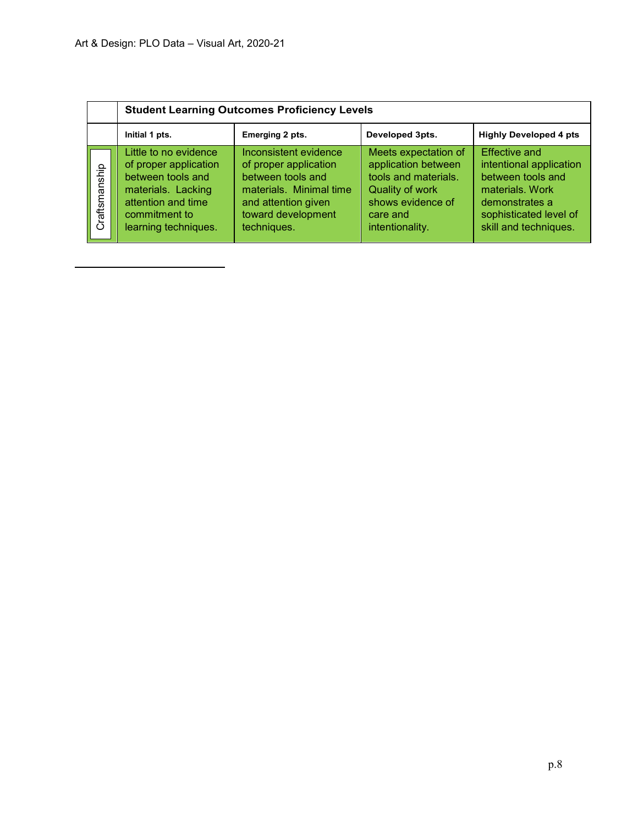|               | <b>Student Learning Outcomes Proficiency Levels</b>                                                                                                      |                                                                                                                                                            |                                                                                                                                                   |                                                                                                                                                              |  |  |
|---------------|----------------------------------------------------------------------------------------------------------------------------------------------------------|------------------------------------------------------------------------------------------------------------------------------------------------------------|---------------------------------------------------------------------------------------------------------------------------------------------------|--------------------------------------------------------------------------------------------------------------------------------------------------------------|--|--|
|               | Initial 1 pts.                                                                                                                                           | Emerging 2 pts.                                                                                                                                            | Developed 3pts.                                                                                                                                   | <b>Highly Developed 4 pts</b>                                                                                                                                |  |  |
| Craftsmanship | Little to no evidence<br>of proper application<br>between tools and<br>materials. Lacking<br>attention and time<br>commitment to<br>learning techniques. | Inconsistent evidence<br>of proper application<br>between tools and<br>materials. Minimal time<br>and attention given<br>toward development<br>techniques. | Meets expectation of<br>application between<br>tools and materials.<br><b>Quality of work</b><br>shows evidence of<br>care and<br>intentionality. | <b>Effective and</b><br>intentional application<br>between tools and<br>materials, Work<br>demonstrates a<br>sophisticated level of<br>skill and techniques. |  |  |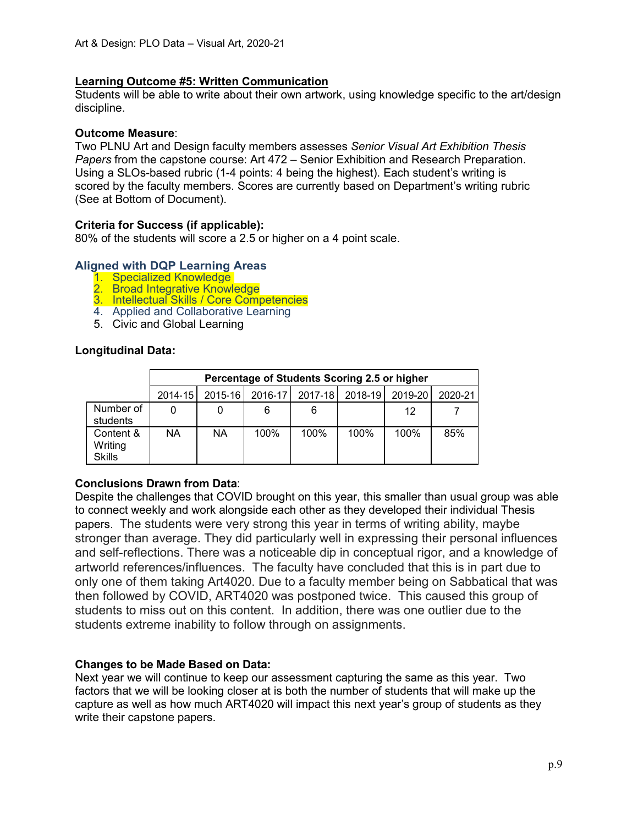### **Learning Outcome #5: Written Communication**

Students will be able to write about their own artwork, using knowledge specific to the art/design discipline.

### **Outcome Measure**:

Two PLNU Art and Design faculty members assesses *Senior Visual Art Exhibition Thesis Papers* from the capstone course: Art 472 – Senior Exhibition and Research Preparation. Using a SLOs-based rubric (1-4 points: 4 being the highest). Each student's writing is scored by the faculty members. Scores are currently based on Department's writing rubric (See at Bottom of Document).

### **Criteria for Success (if applicable):**

80% of the students will score a 2.5 or higher on a 4 point scale.

### **Aligned with DQP Learning Areas**

- 1. Specialized Knowledge
- 2. Broad Integrative Knowledge
- 3. Intellectual Skills / Core Competencies
- 4. Applied and Collaborative Learning
- 5. Civic and Global Learning

### **Longitudinal Data:**

|                                       |             | Percentage of Students Scoring 2.5 or higher |         |         |         |         |         |  |
|---------------------------------------|-------------|----------------------------------------------|---------|---------|---------|---------|---------|--|
|                                       | $2014 - 15$ | 2015-16                                      | 2016-17 | 2017-18 | 2018-19 | 2019-20 | 2020-21 |  |
| Number of<br>students                 | 0           |                                              | 6       | 6       |         | 12      |         |  |
| Content &<br>Writing<br><b>Skills</b> | ΝA          | <b>NA</b>                                    | 100%    | 100%    | 100%    | 100%    | 85%     |  |

### **Conclusions Drawn from Data**:

Despite the challenges that COVID brought on this year, this smaller than usual group was able to connect weekly and work alongside each other as they developed their individual Thesis papers. The students were very strong this year in terms of writing ability, maybe stronger than average. They did particularly well in expressing their personal influences and self-reflections. There was a noticeable dip in conceptual rigor, and a knowledge of artworld references/influences. The faculty have concluded that this is in part due to only one of them taking Art4020. Due to a faculty member being on Sabbatical that was then followed by COVID, ART4020 was postponed twice. This caused this group of students to miss out on this content. In addition, there was one outlier due to the students extreme inability to follow through on assignments.

## **Changes to be Made Based on Data:**

Next year we will continue to keep our assessment capturing the same as this year. Two factors that we will be looking closer at is both the number of students that will make up the capture as well as how much ART4020 will impact this next year's group of students as they write their capstone papers.